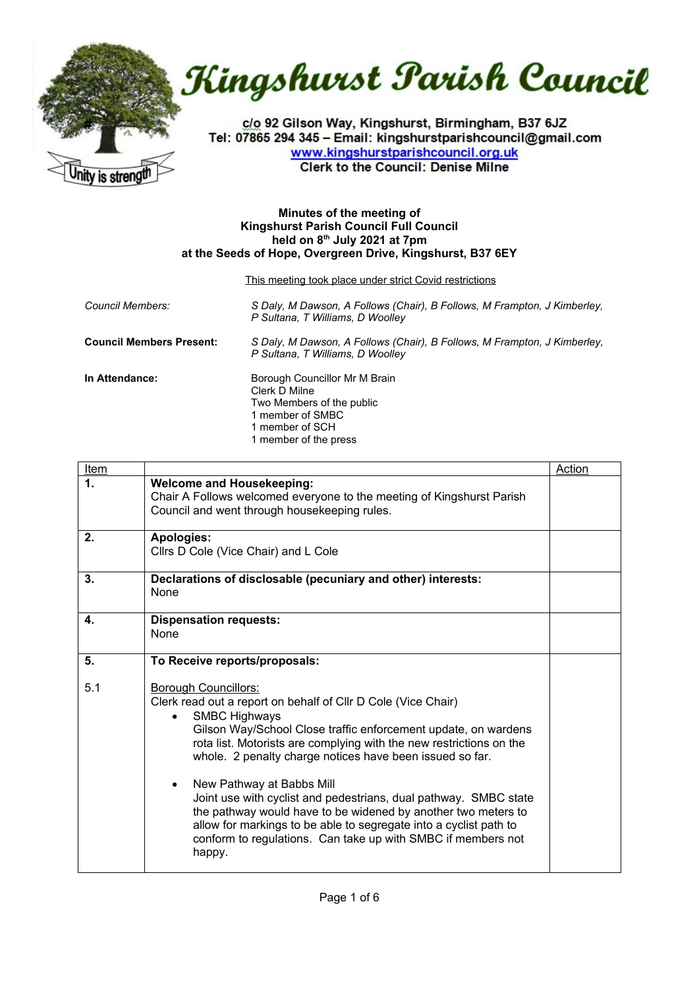



c/o 92 Gilson Way, Kingshurst, Birmingham, B37 6JZ Tel: 07865 294 345 - Email: kingshurstparishcouncil@gmail.com www.kingshurstparishcouncil.org.uk **Clerk to the Council: Denise Milne** 

## **Minutes of the meeting of Kingshurst Parish Council Full Council held on 8th July 2021 at 7pm at the Seeds of Hope, Overgreen Drive, Kingshurst, B37 6EY**

This meeting took place under strict Covid restrictions

| Council Members:                | S Daly, M Dawson, A Follows (Chair), B Follows, M Frampton, J Kimberley,<br>P Sultana, T Williams, D Woolley                                |
|---------------------------------|---------------------------------------------------------------------------------------------------------------------------------------------|
| <b>Council Members Present:</b> | S Daly, M Dawson, A Follows (Chair), B Follows, M Frampton, J Kimberley,<br>P Sultana, T Williams, D Woolley                                |
| In Attendance:                  | Borough Councillor Mr M Brain<br>Clerk D Milne<br>Two Members of the public<br>1 member of SMBC<br>1 member of SCH<br>1 member of the press |

| <u>Item</u> |                                                                                                                                                                                                                                                                                                                                                                                                                                                                                                                                                                                                                                                                      | <b>Action</b> |
|-------------|----------------------------------------------------------------------------------------------------------------------------------------------------------------------------------------------------------------------------------------------------------------------------------------------------------------------------------------------------------------------------------------------------------------------------------------------------------------------------------------------------------------------------------------------------------------------------------------------------------------------------------------------------------------------|---------------|
| $\mathbf 1$ | <b>Welcome and Housekeeping:</b><br>Chair A Follows welcomed everyone to the meeting of Kingshurst Parish<br>Council and went through housekeeping rules.                                                                                                                                                                                                                                                                                                                                                                                                                                                                                                            |               |
| 2.          | <b>Apologies:</b><br>Cllrs D Cole (Vice Chair) and L Cole                                                                                                                                                                                                                                                                                                                                                                                                                                                                                                                                                                                                            |               |
| 3.          | Declarations of disclosable (pecuniary and other) interests:<br>None                                                                                                                                                                                                                                                                                                                                                                                                                                                                                                                                                                                                 |               |
| 4.          | <b>Dispensation requests:</b><br>None                                                                                                                                                                                                                                                                                                                                                                                                                                                                                                                                                                                                                                |               |
| 5.          | To Receive reports/proposals:                                                                                                                                                                                                                                                                                                                                                                                                                                                                                                                                                                                                                                        |               |
| 5.1         | <b>Borough Councillors:</b><br>Clerk read out a report on behalf of Cllr D Cole (Vice Chair)<br><b>SMBC Highways</b><br>$\bullet$<br>Gilson Way/School Close traffic enforcement update, on wardens<br>rota list. Motorists are complying with the new restrictions on the<br>whole. 2 penalty charge notices have been issued so far.<br>New Pathway at Babbs Mill<br>$\bullet$<br>Joint use with cyclist and pedestrians, dual pathway. SMBC state<br>the pathway would have to be widened by another two meters to<br>allow for markings to be able to segregate into a cyclist path to<br>conform to regulations. Can take up with SMBC if members not<br>happy. |               |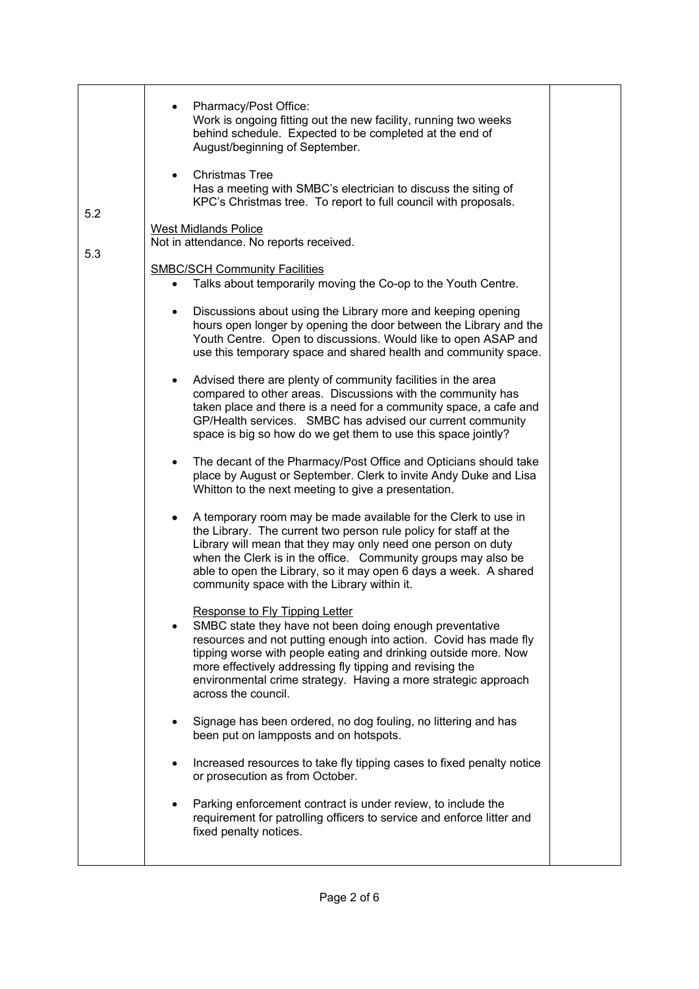| 5.2 | • Pharmacy/Post Office:<br>Work is ongoing fitting out the new facility, running two weeks<br>behind schedule. Expected to be completed at the end of<br>August/beginning of September.<br><b>Christmas Tree</b><br>$\bullet$<br>Has a meeting with SMBC's electrician to discuss the siting of<br>KPC's Christmas tree. To report to full council with proposals.                     |  |
|-----|----------------------------------------------------------------------------------------------------------------------------------------------------------------------------------------------------------------------------------------------------------------------------------------------------------------------------------------------------------------------------------------|--|
| 5.3 | <b>West Midlands Police</b><br>Not in attendance. No reports received.                                                                                                                                                                                                                                                                                                                 |  |
|     | <b>SMBC/SCH Community Facilities</b><br>Talks about temporarily moving the Co-op to the Youth Centre.                                                                                                                                                                                                                                                                                  |  |
|     | Discussions about using the Library more and keeping opening<br>hours open longer by opening the door between the Library and the<br>Youth Centre. Open to discussions. Would like to open ASAP and<br>use this temporary space and shared health and community space.                                                                                                                 |  |
|     | Advised there are plenty of community facilities in the area<br>$\bullet$<br>compared to other areas. Discussions with the community has<br>taken place and there is a need for a community space, a cafe and<br>GP/Health services. SMBC has advised our current community<br>space is big so how do we get them to use this space jointly?                                           |  |
|     | The decant of the Pharmacy/Post Office and Opticians should take<br>$\bullet$<br>place by August or September. Clerk to invite Andy Duke and Lisa<br>Whitton to the next meeting to give a presentation.                                                                                                                                                                               |  |
|     | A temporary room may be made available for the Clerk to use in<br>the Library. The current two person rule policy for staff at the<br>Library will mean that they may only need one person on duty<br>when the Clerk is in the office. Community groups may also be<br>able to open the Library, so it may open 6 days a week. A shared<br>community space with the Library within it. |  |
|     | Response to Fly Tipping Letter<br>SMBC state they have not been doing enough preventative<br>resources and not putting enough into action. Covid has made fly<br>tipping worse with people eating and drinking outside more. Now<br>more effectively addressing fly tipping and revising the<br>environmental crime strategy. Having a more strategic approach<br>across the council.  |  |
|     | Signage has been ordered, no dog fouling, no littering and has<br>been put on lampposts and on hotspots.                                                                                                                                                                                                                                                                               |  |
|     | Increased resources to take fly tipping cases to fixed penalty notice<br>or prosecution as from October.                                                                                                                                                                                                                                                                               |  |
|     | Parking enforcement contract is under review, to include the<br>requirement for patrolling officers to service and enforce litter and<br>fixed penalty notices.                                                                                                                                                                                                                        |  |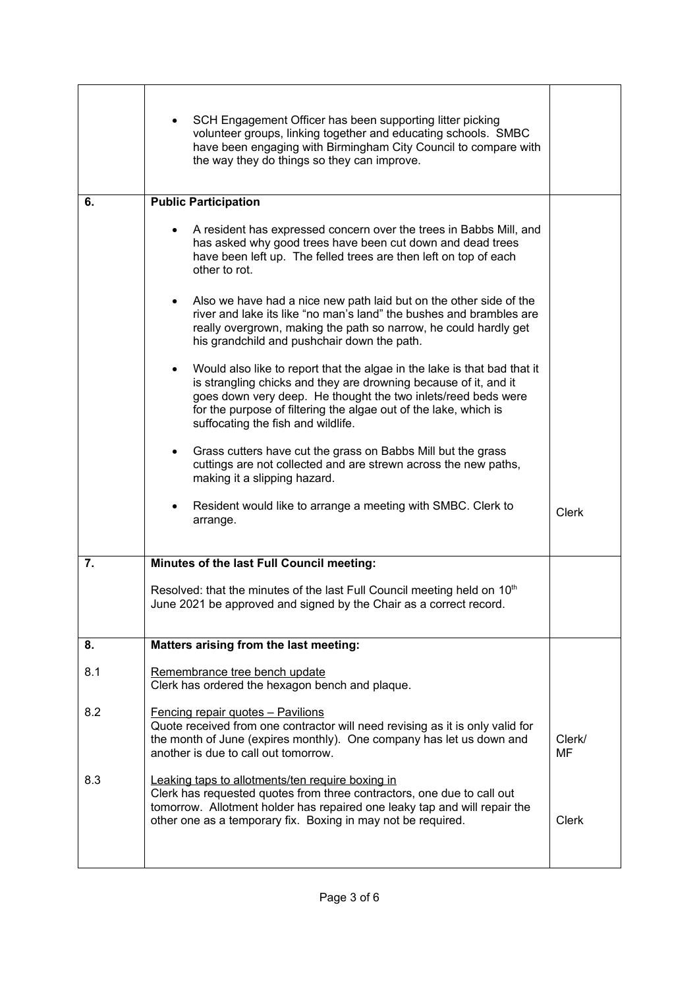|     | SCH Engagement Officer has been supporting litter picking<br>volunteer groups, linking together and educating schools. SMBC<br>have been engaging with Birmingham City Council to compare with<br>the way they do things so they can improve.                                                                           |                     |
|-----|-------------------------------------------------------------------------------------------------------------------------------------------------------------------------------------------------------------------------------------------------------------------------------------------------------------------------|---------------------|
| 6.  | <b>Public Participation</b>                                                                                                                                                                                                                                                                                             |                     |
|     | A resident has expressed concern over the trees in Babbs Mill, and<br>has asked why good trees have been cut down and dead trees<br>have been left up. The felled trees are then left on top of each<br>other to rot.                                                                                                   |                     |
|     | Also we have had a nice new path laid but on the other side of the<br>$\bullet$<br>river and lake its like "no man's land" the bushes and brambles are<br>really overgrown, making the path so narrow, he could hardly get<br>his grandchild and pushchair down the path.                                               |                     |
|     | Would also like to report that the algae in the lake is that bad that it<br>is strangling chicks and they are drowning because of it, and it<br>goes down very deep. He thought the two inlets/reed beds were<br>for the purpose of filtering the algae out of the lake, which is<br>suffocating the fish and wildlife. |                     |
|     | Grass cutters have cut the grass on Babbs Mill but the grass<br>cuttings are not collected and are strewn across the new paths,<br>making it a slipping hazard.                                                                                                                                                         |                     |
|     | Resident would like to arrange a meeting with SMBC. Clerk to<br>arrange.                                                                                                                                                                                                                                                | <b>Clerk</b>        |
| 7.  | Minutes of the last Full Council meeting:                                                                                                                                                                                                                                                                               |                     |
|     | Resolved: that the minutes of the last Full Council meeting held on 10 <sup>th</sup><br>June 2021 be approved and signed by the Chair as a correct record.                                                                                                                                                              |                     |
| 8.  | Matters arising from the last meeting:                                                                                                                                                                                                                                                                                  |                     |
| 8.1 | Remembrance tree bench update<br>Clerk has ordered the hexagon bench and plaque.                                                                                                                                                                                                                                        |                     |
| 8.2 | Fencing repair quotes - Pavilions<br>Quote received from one contractor will need revising as it is only valid for<br>the month of June (expires monthly). One company has let us down and<br>another is due to call out tomorrow.                                                                                      | Clerk/<br><b>MF</b> |
| 8.3 | Leaking taps to allotments/ten require boxing in<br>Clerk has requested quotes from three contractors, one due to call out<br>tomorrow. Allotment holder has repaired one leaky tap and will repair the<br>other one as a temporary fix. Boxing in may not be required.                                                 | Clerk               |
|     |                                                                                                                                                                                                                                                                                                                         |                     |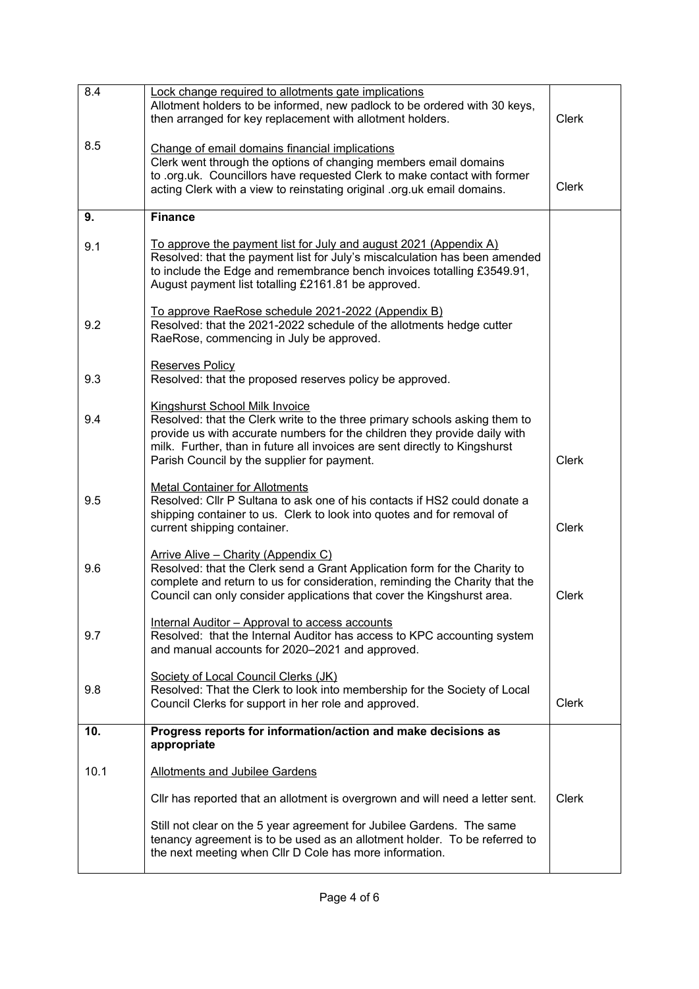| 8.4  | Lock change required to allotments gate implications<br>Allotment holders to be informed, new padlock to be ordered with 30 keys,<br>then arranged for key replacement with allotment holders.                                                                                                                                | <b>Clerk</b> |
|------|-------------------------------------------------------------------------------------------------------------------------------------------------------------------------------------------------------------------------------------------------------------------------------------------------------------------------------|--------------|
| 8.5  | Change of email domains financial implications<br>Clerk went through the options of changing members email domains<br>to .org.uk. Councillors have requested Clerk to make contact with former<br>acting Clerk with a view to reinstating original .org.uk email domains.                                                     | <b>Clerk</b> |
| 9.   | <b>Finance</b>                                                                                                                                                                                                                                                                                                                |              |
| 9.1  | To approve the payment list for July and august 2021 (Appendix A)<br>Resolved: that the payment list for July's miscalculation has been amended<br>to include the Edge and remembrance bench invoices totalling £3549.91,<br>August payment list totalling £2161.81 be approved.                                              |              |
| 9.2  | To approve RaeRose schedule 2021-2022 (Appendix B)<br>Resolved: that the 2021-2022 schedule of the allotments hedge cutter<br>RaeRose, commencing in July be approved.                                                                                                                                                        |              |
| 9.3  | Reserves Policy<br>Resolved: that the proposed reserves policy be approved.                                                                                                                                                                                                                                                   |              |
| 9.4  | <b>Kingshurst School Milk Invoice</b><br>Resolved: that the Clerk write to the three primary schools asking them to<br>provide us with accurate numbers for the children they provide daily with<br>milk. Further, than in future all invoices are sent directly to Kingshurst<br>Parish Council by the supplier for payment. | <b>Clerk</b> |
| 9.5  | <b>Metal Container for Allotments</b><br>Resolved: Cllr P Sultana to ask one of his contacts if HS2 could donate a<br>shipping container to us. Clerk to look into quotes and for removal of<br>current shipping container.                                                                                                   | <b>Clerk</b> |
| 9.6  | Arrive Alive - Charity (Appendix C)<br>Resolved: that the Clerk send a Grant Application form for the Charity to<br>complete and return to us for consideration, reminding the Charity that the<br>Council can only consider applications that cover the Kingshurst area.                                                     | <b>Clerk</b> |
| 9.7  | Internal Auditor - Approval to access accounts<br>Resolved: that the Internal Auditor has access to KPC accounting system<br>and manual accounts for 2020-2021 and approved.                                                                                                                                                  |              |
| 9.8  | Society of Local Council Clerks (JK)<br>Resolved: That the Clerk to look into membership for the Society of Local<br>Council Clerks for support in her role and approved.                                                                                                                                                     | <b>Clerk</b> |
| 10.  | Progress reports for information/action and make decisions as<br>appropriate                                                                                                                                                                                                                                                  |              |
| 10.1 | <b>Allotments and Jubilee Gardens</b>                                                                                                                                                                                                                                                                                         |              |
|      | CIIr has reported that an allotment is overgrown and will need a letter sent.                                                                                                                                                                                                                                                 | <b>Clerk</b> |
|      | Still not clear on the 5 year agreement for Jubilee Gardens. The same<br>tenancy agreement is to be used as an allotment holder. To be referred to<br>the next meeting when CIIr D Cole has more information.                                                                                                                 |              |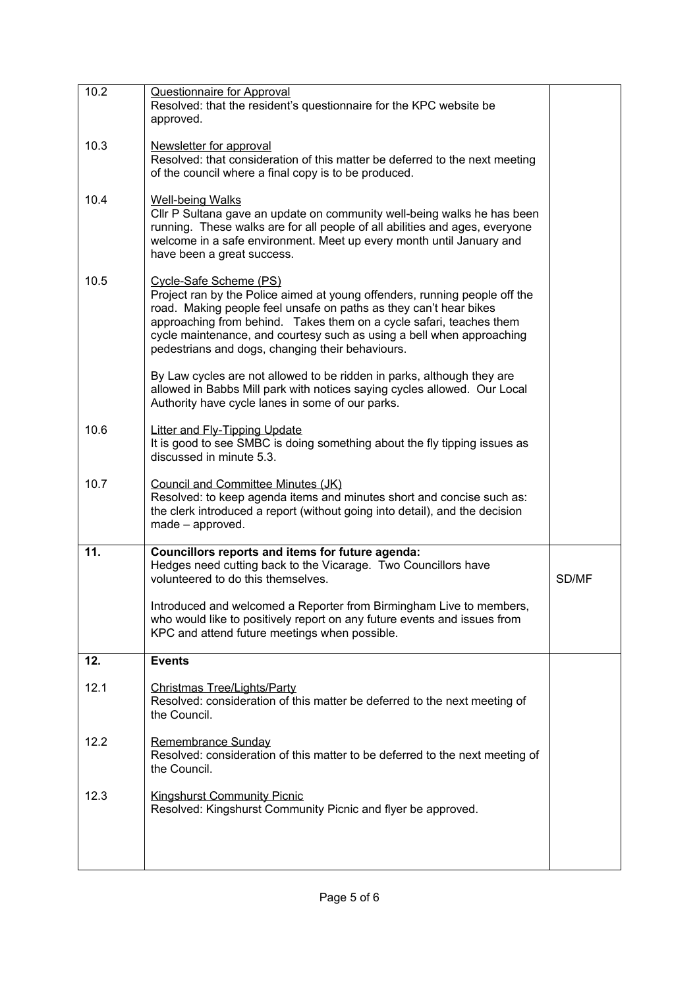| 10.2 | <b>Questionnaire for Approval</b><br>Resolved: that the resident's questionnaire for the KPC website be<br>approved.                                                                                                                                                                                                                                                          |       |
|------|-------------------------------------------------------------------------------------------------------------------------------------------------------------------------------------------------------------------------------------------------------------------------------------------------------------------------------------------------------------------------------|-------|
| 10.3 | Newsletter for approval<br>Resolved: that consideration of this matter be deferred to the next meeting<br>of the council where a final copy is to be produced.                                                                                                                                                                                                                |       |
| 10.4 | <b>Well-being Walks</b><br>Cllr P Sultana gave an update on community well-being walks he has been<br>running. These walks are for all people of all abilities and ages, everyone<br>welcome in a safe environment. Meet up every month until January and<br>have been a great success.                                                                                       |       |
| 10.5 | Cycle-Safe Scheme (PS)<br>Project ran by the Police aimed at young offenders, running people off the<br>road. Making people feel unsafe on paths as they can't hear bikes<br>approaching from behind. Takes them on a cycle safari, teaches them<br>cycle maintenance, and courtesy such as using a bell when approaching<br>pedestrians and dogs, changing their behaviours. |       |
|      | By Law cycles are not allowed to be ridden in parks, although they are<br>allowed in Babbs Mill park with notices saying cycles allowed. Our Local<br>Authority have cycle lanes in some of our parks.                                                                                                                                                                        |       |
| 10.6 | <b>Litter and Fly-Tipping Update</b><br>It is good to see SMBC is doing something about the fly tipping issues as<br>discussed in minute 5.3.                                                                                                                                                                                                                                 |       |
| 10.7 | Council and Committee Minutes (JK)<br>Resolved: to keep agenda items and minutes short and concise such as:<br>the clerk introduced a report (without going into detail), and the decision<br>made - approved.                                                                                                                                                                |       |
| 11.  | Councillors reports and items for future agenda:<br>Hedges need cutting back to the Vicarage. Two Councillors have<br>volunteered to do this themselves.                                                                                                                                                                                                                      | SD/MF |
|      | Introduced and welcomed a Reporter from Birmingham Live to members<br>who would like to positively report on any future events and issues from<br>KPC and attend future meetings when possible.                                                                                                                                                                               |       |
| 12.  | <b>Events</b>                                                                                                                                                                                                                                                                                                                                                                 |       |
| 12.1 | <b>Christmas Tree/Lights/Party</b><br>Resolved: consideration of this matter be deferred to the next meeting of<br>the Council.                                                                                                                                                                                                                                               |       |
| 12.2 | Remembrance Sunday<br>Resolved: consideration of this matter to be deferred to the next meeting of<br>the Council.                                                                                                                                                                                                                                                            |       |
| 12.3 | <b>Kingshurst Community Picnic</b><br>Resolved: Kingshurst Community Picnic and flyer be approved.                                                                                                                                                                                                                                                                            |       |
|      |                                                                                                                                                                                                                                                                                                                                                                               |       |